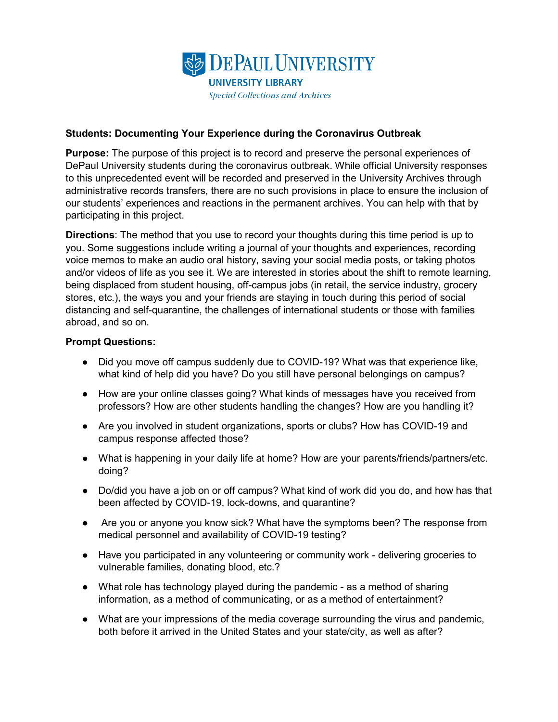

## **Students: Documenting Your Experience during the Coronavirus Outbreak**

**Purpose:** The purpose of this project is to record and preserve the personal experiences of DePaul University students during the coronavirus outbreak. While official University responses to this unprecedented event will be recorded and preserved in the University Archives through administrative records transfers, there are no such provisions in place to ensure the inclusion of our students' experiences and reactions in the permanent archives. You can help with that by participating in this project.

**Directions**: The method that you use to record your thoughts during this time period is up to you. Some suggestions include writing a journal of your thoughts and experiences, recording voice memos to make an audio oral history, saving your social media posts, or taking photos and/or videos of life as you see it. We are interested in stories about the shift to remote learning, being displaced from student housing, off-campus jobs (in retail, the service industry, grocery stores, etc.), the ways you and your friends are staying in touch during this period of social distancing and self-quarantine, the challenges of international students or those with families abroad, and so on.

## **Prompt Questions:**

- Did you move off campus suddenly due to COVID-19? What was that experience like, what kind of help did you have? Do you still have personal belongings on campus?
- How are your online classes going? What kinds of messages have you received from professors? How are other students handling the changes? How are you handling it?
- Are you involved in student organizations, sports or clubs? How has COVID-19 and campus response affected those?
- What is happening in your daily life at home? How are your parents/friends/partners/etc. doing?
- Do/did you have a job on or off campus? What kind of work did you do, and how has that been affected by COVID-19, lock-downs, and quarantine?
- Are you or anyone you know sick? What have the symptoms been? The response from medical personnel and availability of COVID-19 testing?
- Have you participated in any volunteering or community work delivering groceries to vulnerable families, donating blood, etc.?
- What role has technology played during the pandemic as a method of sharing information, as a method of communicating, or as a method of entertainment?
- What are your impressions of the media coverage surrounding the virus and pandemic, both before it arrived in the United States and your state/city, as well as after?